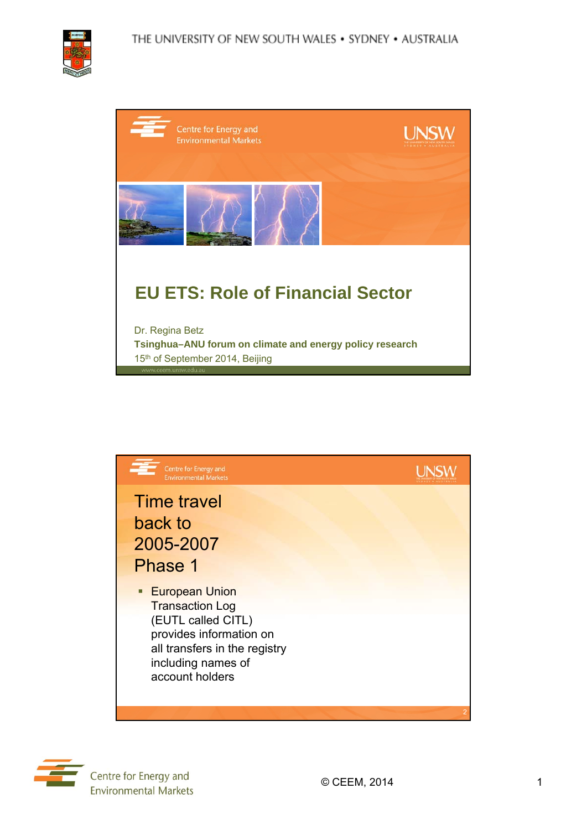

| Centre for Energy and<br><b>Environmental Markets</b>                                       | <b>UNSW</b> |
|---------------------------------------------------------------------------------------------|-------------|
|                                                                                             |             |
| <b>EU ETS: Role of Financial Sector</b>                                                     |             |
| Dr. Regina Betz                                                                             |             |
| Tsinghua-ANU forum on climate and energy policy research<br>15th of September 2014, Beijing |             |



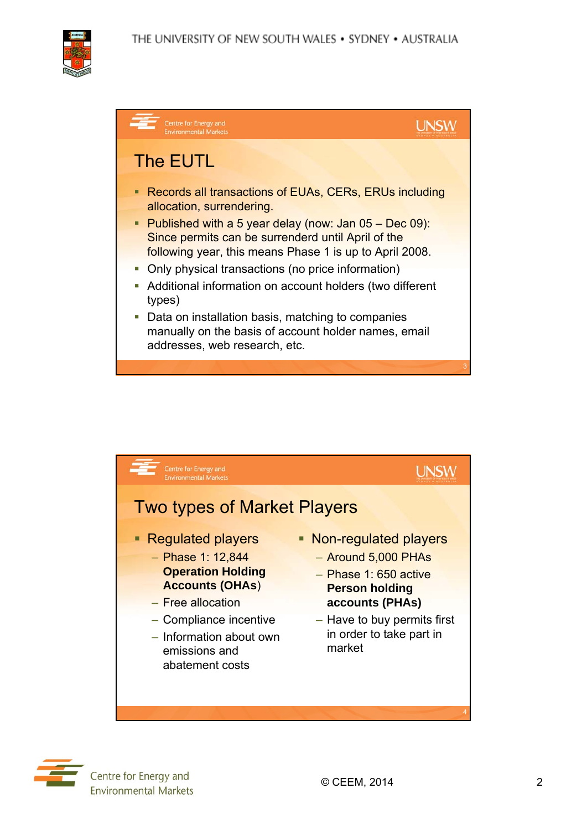







Centre for Energy and **Environmental Markets**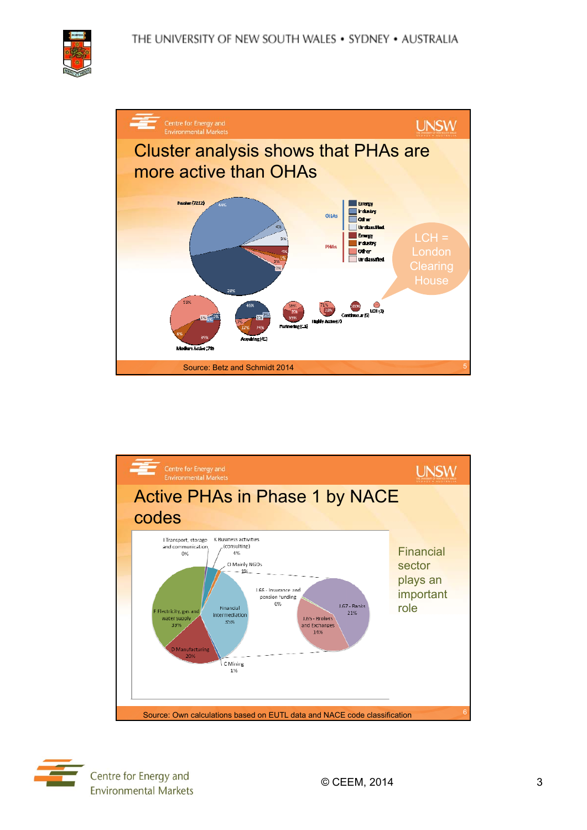





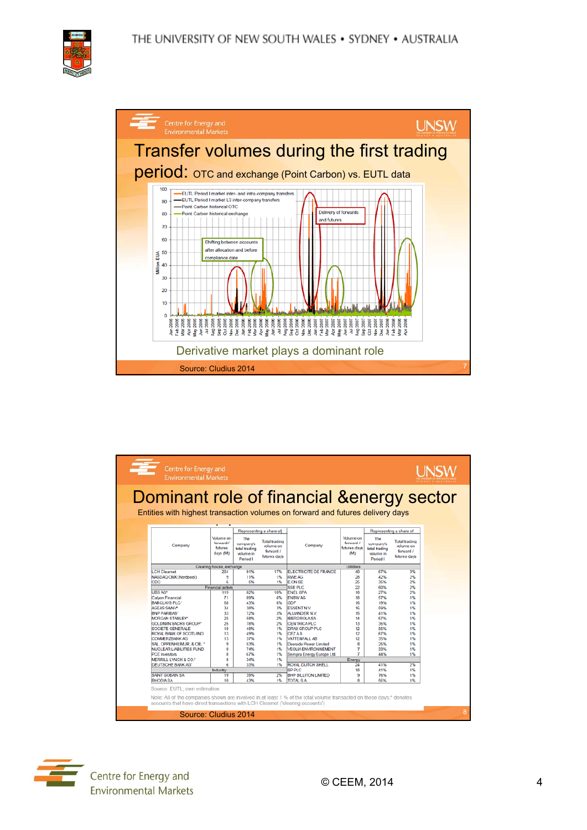



| Centre for Energy and<br><b>Environmental Markets</b>                                                                |                          |               |                         |                                     |                   |               |                         | <b>LINSV</b> |
|----------------------------------------------------------------------------------------------------------------------|--------------------------|---------------|-------------------------|-------------------------------------|-------------------|---------------|-------------------------|--------------|
| Dominant role of financial & energy sector                                                                           |                          |               |                         |                                     |                   |               |                         |              |
| Entities with highest transaction volumes on forward and futures delivery days                                       |                          |               |                         |                                     |                   |               |                         |              |
|                                                                                                                      |                          |               |                         |                                     |                   |               |                         |              |
|                                                                                                                      |                          |               | Representing a share of |                                     |                   |               | Representing a share of |              |
|                                                                                                                      | Volume on                | The           |                         |                                     | <b>Volume</b> on  | The           |                         |              |
|                                                                                                                      | forward /                | company's     | <b>Total trading</b>    |                                     | forward /         | company's     | <b>Total trading</b>    |              |
| Company                                                                                                              | futures                  | total trading | volume on               | Company                             | futures days      | total trading | volume on               |              |
|                                                                                                                      | days (Mt)                | volume in     | forward /               |                                     | (M <sub>2</sub> ) | volume in     | forward /               |              |
|                                                                                                                      |                          | Period I      | futures days            |                                     |                   | Period I      | futures days            |              |
|                                                                                                                      | Clearing house, exchange |               |                         |                                     | <b>Utilities</b>  |               |                         |              |
| <b>LCH Clearnet</b>                                                                                                  | 204                      | 91%           | 17%                     | ELECTRICITE DE FRANCE               | 40                | 67%           | 3%                      |              |
| NASDAQ OMX (Nordpool)                                                                                                | ۹                        | 11%           | 1%                      | <b>RWE AG</b>                       | 28                | 42%           | 2%                      |              |
| CDC                                                                                                                  | 6                        | 5%            | 1%                      | <b>E.ON SE</b>                      | 25                | 35%           | 2%                      |              |
|                                                                                                                      | Financial actors         |               |                         | <b>SSE PLC</b>                      | 22                | 60%           | 2%                      |              |
| <b>UBS AG*</b>                                                                                                       | 119                      | 82%           | 10%                     | <b>ENEL SPA</b>                     | 18                | 27%           | 2%                      |              |
| Calvon Financial<br>BARCLAYS PLC*                                                                                    | 71<br>68                 | 89%<br>43%    | 6%<br>6%                | <b>ENBW AG</b><br>GDF               | 18<br>16          | 57%           | 1%                      |              |
|                                                                                                                      |                          |               | 3%                      |                                     | 16                | 19%<br>59%    | 1%<br>1%                |              |
| AGEAS SANV*<br><b>BNP PARIBAS*</b>                                                                                   | 34<br>33                 | 38%<br>72%    | 3%                      | <b>ESSENTN.V.</b><br>ALLIANDER N.V. | 15                | 41%           | 1%                      |              |
| MORGAN STANLEY"                                                                                                      | 25                       | 58%           | 2%                      | <b>IBERDROLA SA</b>                 | 14                | 67%           | 1%                      |              |
| GOLDMAN SACHS GROUP*                                                                                                 | 25                       | 78%           | 2%                      | <b>CENTRICA PLC</b>                 | 13                | 35%           | 1%                      |              |
| SOCIETE GENERALE                                                                                                     | 18                       | 48%           | 1%                      | <b>DRAX GROUP PLC</b>               | 12                | 56%           | 1%                      |              |
| ROYAL BANK OF SCOTLAND                                                                                               | 13                       | 49%           | 1%                      | CEZAS.                              | 12                | 67%           | 1%                      |              |
| <b>COMMERZBANK AG</b>                                                                                                | 13                       | 37%           | 1%                      | VATTENFALL AB                       | 12                | 35%           | 1%                      |              |
| SAL OPPENHEIM JR. & CIE. *                                                                                           | 9                        | 53%           | 1%                      | Deeside Power Limited               | 8                 | 25%           | 1%                      |              |
| <b>NUCLEAR LIABILITIES FUND</b>                                                                                      | 9                        | 74%           | 1%                      | <b>VEOLIA ENVIRONNEMENT</b>         | 7                 | 33%           | 1%                      |              |
| <b>PCE</b> Investors                                                                                                 | Ř                        | 67%           | 1%                      | Sempra Energy Europe Ltd.           | $\overline{7}$    | 44%           | 1%                      |              |
| MERRILL LYNCH & CO.*                                                                                                 | 8                        | 34%           | 1%                      |                                     | Energy            |               |                         |              |
| <b>DEUTSCHE BANK AG*</b>                                                                                             | ĥ                        | 33%           | 1%                      | <b>ROYAL DUTCH SHELL</b>            | 24                | 41%           | 2%                      |              |
|                                                                                                                      | Industry                 |               |                         | BP PLC                              | 18                | 41%           | 1%                      |              |
| <b>SAINT GOBAIN SA</b>                                                                                               | 19                       | 39%           | 2%                      | <b>BHP BILLITON LIMITED</b>         | 9                 | 76%           | 1%                      |              |
| <b>RHODIASA</b>                                                                                                      | 10                       | 43%           | 1%                      | <b>TOTAL S.A.</b>                   | 8                 | 56%           | 1%                      |              |
| Source: EUTL: own estimation                                                                                         |                          |               |                         |                                     |                   |               |                         |              |
| Note: All of the companies shown are involved in at least 1 % of the total volume transacted on those days;* denotes |                          |               |                         |                                     |                   |               |                         |              |
|                                                                                                                      |                          |               |                         |                                     |                   |               |                         |              |
| accounts that have direct transactions with LCH Clearnet ('clearing accounts')                                       |                          |               |                         |                                     |                   |               |                         |              |

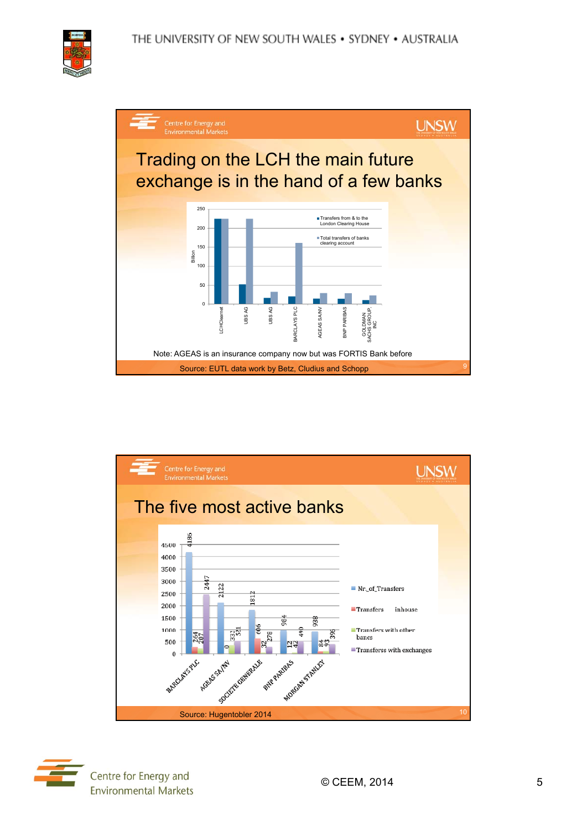





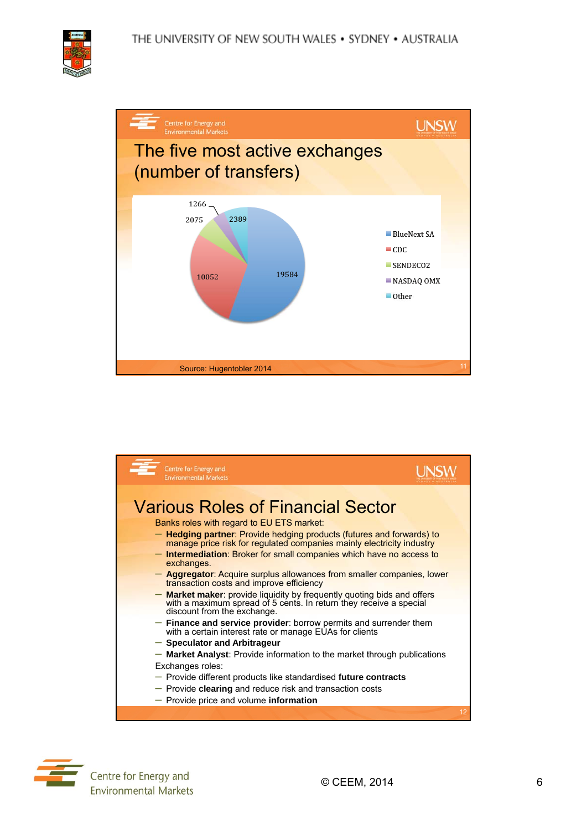







Centre for Energy and **Environmental Markets**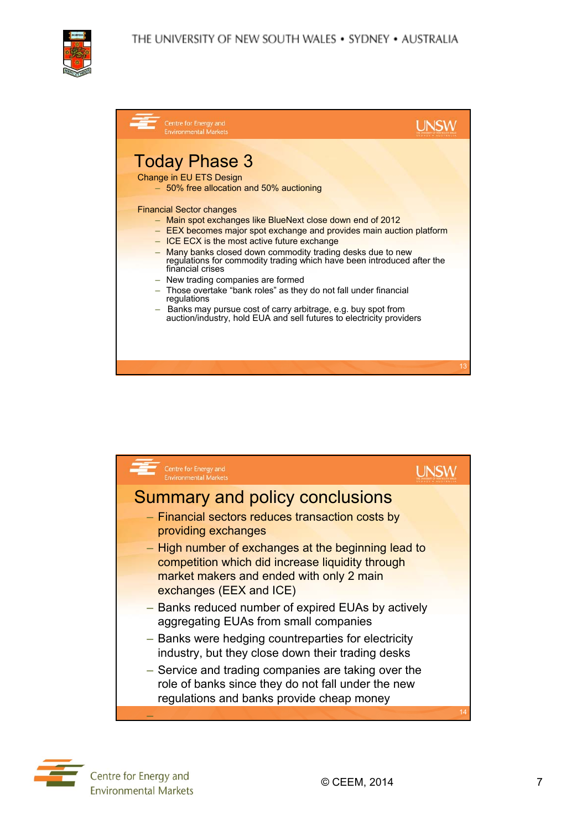

| Centre for Energy and<br><b>Environmental Markets</b>                                                                                                                                                                                                                                                                                                                                                                                                                                                                                                                                                                                                       |    |
|-------------------------------------------------------------------------------------------------------------------------------------------------------------------------------------------------------------------------------------------------------------------------------------------------------------------------------------------------------------------------------------------------------------------------------------------------------------------------------------------------------------------------------------------------------------------------------------------------------------------------------------------------------------|----|
| <b>Today Phase 3</b><br>Change in EU ETS Design<br>- 50% free allocation and 50% auctioning                                                                                                                                                                                                                                                                                                                                                                                                                                                                                                                                                                 |    |
| <b>Financial Sector changes</b><br>- Main spot exchanges like BlueNext close down end of 2012<br>- EEX becomes major spot exchange and provides main auction platform<br>- ICE ECX is the most active future exchange<br>Many banks closed down commodity trading desks due to new<br>$-$<br>regulations for commodity trading which have been introduced after the<br>financial crises<br>- New trading companies are formed<br>- Those overtake "bank roles" as they do not fall under financial<br>regulations<br>- Banks may pursue cost of carry arbitrage, e.g. buy spot from<br>auction/industry, hold EUA and sell futures to electricity providers |    |
|                                                                                                                                                                                                                                                                                                                                                                                                                                                                                                                                                                                                                                                             | 13 |